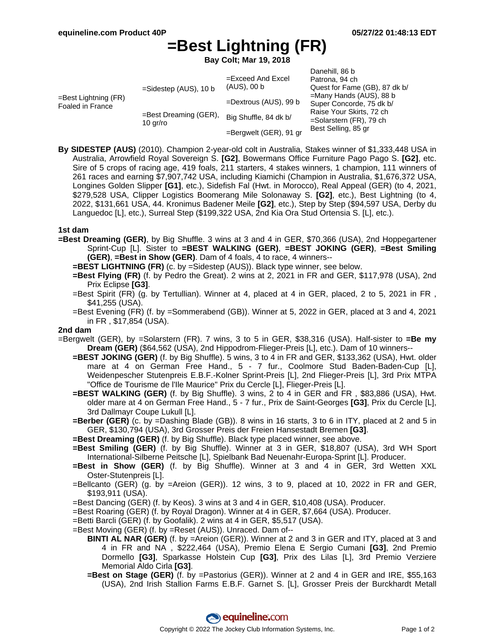# **=Best Lightning (FR)**

**Bay Colt; Mar 19, 2018**

| $=$ Best Lightning (FR)<br>Foaled in France | $=$ Sidestep (AUS), 10 b             | $=$ Exceed And Excel<br>$(AUS)$ , 00 b | Danehill, 86 b<br>Patrona, 94 ch<br>Quest for Fame (GB), 87 dk b/<br>$=$ Many Hands (AUS), 88 b<br>Super Concorde, 75 dk b/<br>Raise Your Skirts, 72 ch<br>$=$ Solarstern (FR), 79 ch<br>Best Selling, 85 gr |
|---------------------------------------------|--------------------------------------|----------------------------------------|--------------------------------------------------------------------------------------------------------------------------------------------------------------------------------------------------------------|
|                                             |                                      | $=$ Dextrous (AUS), 99 b               |                                                                                                                                                                                                              |
|                                             | $=$ Best Dreaming (GER),<br>10 gr/ro | Big Shuffle, 84 dk b/                  |                                                                                                                                                                                                              |
|                                             |                                      | =Bergwelt (GER), 91 gr                 |                                                                                                                                                                                                              |

**By SIDESTEP (AUS)** (2010). Champion 2-year-old colt in Australia, Stakes winner of \$1,333,448 USA in Australia, Arrowfield Royal Sovereign S. **[G2]**, Bowermans Office Furniture Pago Pago S. **[G2]**, etc. Sire of 5 crops of racing age, 419 foals, 211 starters, 4 stakes winners, 1 champion, 111 winners of 261 races and earning \$7,907,742 USA, including Kiamichi (Champion in Australia, \$1,676,372 USA, Longines Golden Slipper **[G1]**, etc.), Sidefish Fal (Hwt. in Morocco), Real Appeal (GER) (to 4, 2021, \$279,528 USA, Clipper Logistics Boomerang Mile Solonaway S. **[G2]**, etc.), Best Lightning (to 4, 2022, \$131,661 USA, 44. Kronimus Badener Meile **[G2]**, etc.), Step by Step (\$94,597 USA, Derby du Languedoc [L], etc.), Surreal Step (\$199,322 USA, 2nd Kia Ora Stud Ortensia S. [L], etc.).

### **1st dam**

- **=Best Dreaming (GER)**, by Big Shuffle. 3 wins at 3 and 4 in GER, \$70,366 (USA), 2nd Hoppegartener Sprint-Cup [L]. Sister to **=BEST WALKING (GER)**, **=BEST JOKING (GER)**, **=Best Smiling (GER)**, **=Best in Show (GER)**. Dam of 4 foals, 4 to race, 4 winners--
	- **=BEST LIGHTNING (FR)** (c. by =Sidestep (AUS)). Black type winner, see below.
	- **=Best Flying (FR)** (f. by Pedro the Great). 2 wins at 2, 2021 in FR and GER, \$117,978 (USA), 2nd Prix Eclipse **[G3]**.
	- =Best Spirit (FR) (g. by Tertullian). Winner at 4, placed at 4 in GER, placed, 2 to 5, 2021 in FR , \$41,255 (USA).
	- =Best Evening (FR) (f. by =Sommerabend (GB)). Winner at 5, 2022 in GER, placed at 3 and 4, 2021 in FR , \$17,854 (USA).

## **2nd dam**

- =Bergwelt (GER), by =Solarstern (FR). 7 wins, 3 to 5 in GER, \$38,316 (USA). Half-sister to **=Be my Dream (GER)** (\$64,562 (USA), 2nd Hippodrom-Flieger-Preis [L], etc.). Dam of 10 winners--
	- **=BEST JOKING (GER)** (f. by Big Shuffle). 5 wins, 3 to 4 in FR and GER, \$133,362 (USA), Hwt. older mare at 4 on German Free Hand., 5 - 7 fur., Coolmore Stud Baden-Baden-Cup [L], Weidenpescher Stutenpreis E.B.F.-Kolner Sprint-Preis [L], 2nd Flieger-Preis [L], 3rd Prix MTPA "Office de Tourisme de l'Ile Maurice" Prix du Cercle [L], Flieger-Preis [L].
	- **=BEST WALKING (GER)** (f. by Big Shuffle). 3 wins, 2 to 4 in GER and FR , \$83,886 (USA), Hwt. older mare at 4 on German Free Hand., 5 - 7 fur., Prix de Saint-Georges **[G3]**, Prix du Cercle [L], 3rd Dallmayr Coupe Lukull [L].
	- **=Berber (GER)** (c. by =Dashing Blade (GB)). 8 wins in 16 starts, 3 to 6 in ITY, placed at 2 and 5 in GER, \$130,794 (USA), 3rd Grosser Preis der Freien Hansestadt Bremen **[G3]**.
	- **=Best Dreaming (GER)** (f. by Big Shuffle). Black type placed winner, see above.
	- **=Best Smiling (GER)** (f. by Big Shuffle). Winner at 3 in GER, \$18,807 (USA), 3rd WH Sport International-Silberne Peitsche [L], Spielbank Bad Neuenahr-Europa-Sprint [L]. Producer.
	- **=Best in Show (GER)** (f. by Big Shuffle). Winner at 3 and 4 in GER, 3rd Wetten XXL Oster-Stutenpreis [L].
	- =Bellcanto (GER) (g. by =Areion (GER)). 12 wins, 3 to 9, placed at 10, 2022 in FR and GER, \$193,911 (USA).
	- =Best Dancing (GER) (f. by Keos). 3 wins at 3 and 4 in GER, \$10,408 (USA). Producer.
	- =Best Roaring (GER) (f. by Royal Dragon). Winner at 4 in GER, \$7,664 (USA). Producer.
	- =Betti Barcli (GER) (f. by Goofalik). 2 wins at 4 in GER, \$5,517 (USA).
	- =Best Moving (GER) (f. by =Reset (AUS)). Unraced. Dam of--
		- **BINTI AL NAR (GER)** (f. by =Areion (GER)). Winner at 2 and 3 in GER and ITY, placed at 3 and 4 in FR and NA , \$222,464 (USA), Premio Elena E Sergio Cumani **[G3]**, 2nd Premio Dormello **[G3]**, Sparkasse Holstein Cup **[G3]**, Prix des Lilas [L], 3rd Premio Verziere Memorial Aldo Cirla **[G3]**.
		- **=Best on Stage (GER)** (f. by =Pastorius (GER)). Winner at 2 and 4 in GER and IRE, \$55,163 (USA), 2nd Irish Stallion Farms E.B.F. Garnet S. [L], Grosser Preis der Burckhardt Metall